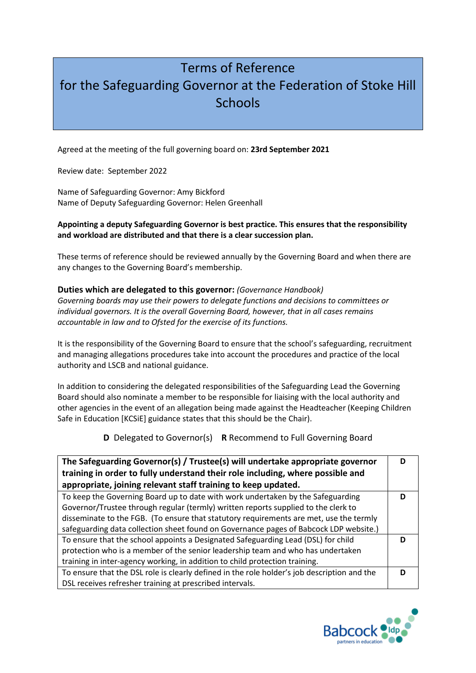## Terms of Reference for the Safeguarding Governor at the Federation of Stoke Hill **Schools**

Agreed at the meeting of the full governing board on: **23rd September 2021**

Review date: September 2022

Name of Safeguarding Governor: Amy Bickford Name of Deputy Safeguarding Governor: Helen Greenhall

## **Appointing a deputy Safeguarding Governor is best practice. This ensures that the responsibility and workload are distributed and that there is a clear succession plan.**

These terms of reference should be reviewed annually by the Governing Board and when there are any changes to the Governing Board's membership.

## **Duties which are delegated to this governor:** *(Governance Handbook)*

*Governing boards may use their powers to delegate functions and decisions to committees or individual governors. It is the overall Governing Board, however, that in all cases remains accountable in law and to Ofsted for the exercise of its functions.* 

It is the responsibility of the Governing Board to ensure that the school's safeguarding, recruitment and managing allegations procedures take into account the procedures and practice of the local authority and LSCB and national guidance.

In addition to considering the delegated responsibilities of the Safeguarding Lead the Governing Board should also nominate a member to be responsible for liaising with the local authority and other agencies in the event of an allegation being made against the Headteacher (Keeping Children Safe in Education [KCSiE] guidance states that this should be the Chair).

**D** Delegated to Governor(s) **R** Recommend to Full Governing Board

| The Safeguarding Governor(s) / Trustee(s) will undertake appropriate governor               |   |
|---------------------------------------------------------------------------------------------|---|
| training in order to fully understand their role including, where possible and              |   |
| appropriate, joining relevant staff training to keep updated.                               |   |
| To keep the Governing Board up to date with work undertaken by the Safeguarding             |   |
| Governor/Trustee through regular (termly) written reports supplied to the clerk to          |   |
| disseminate to the FGB. (To ensure that statutory requirements are met, use the termly      |   |
| safeguarding data collection sheet found on Governance pages of Babcock LDP website.)       |   |
| To ensure that the school appoints a Designated Safeguarding Lead (DSL) for child           | D |
| protection who is a member of the senior leadership team and who has undertaken             |   |
| training in inter-agency working, in addition to child protection training.                 |   |
| To ensure that the DSL role is clearly defined in the role holder's job description and the |   |
| DSL receives refresher training at prescribed intervals.                                    |   |